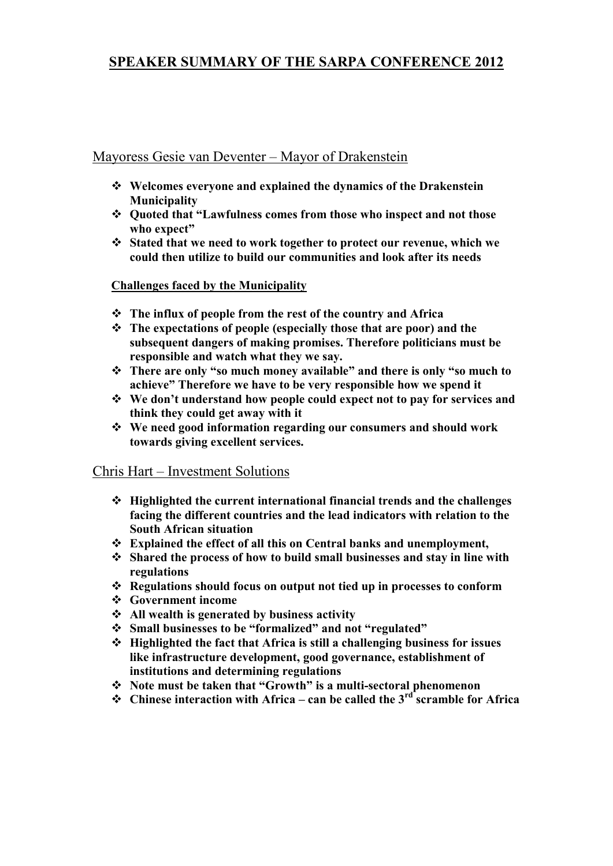# **SPEAKER SUMMARY OF THE SARPA CONFERENCE 2012**

# Mayoress Gesie van Deventer – Mayor of Drakenstein

- **Welcomes everyone and explained the dynamics of the Drakenstein Municipality**
- **Quoted that "Lawfulness comes from those who inspect and not those who expect"**
- **Stated that we need to work together to protect our revenue, which we could then utilize to build our communities and look after its needs**

#### **Challenges faced by the Municipality**

- **The influx of people from the rest of the country and Africa**
- **The expectations of people (especially those that are poor) and the subsequent dangers of making promises. Therefore politicians must be responsible and watch what they we say.**
- **There are only "so much money available" and there is only "so much to achieve" Therefore we have to be very responsible how we spend it**
- **We don't understand how people could expect not to pay for services and think they could get away with it**
- **We need good information regarding our consumers and should work towards giving excellent services.**

# Chris Hart – Investment Solutions

- **Highlighted the current international financial trends and the challenges facing the different countries and the lead indicators with relation to the South African situation**
- **Explained the effect of all this on Central banks and unemployment,**
- **Shared the process of how to build small businesses and stay in line with regulations**
- **Regulations should focus on output not tied up in processes to conform**
- **Government income**
- **All wealth is generated by business activity**
- **Small businesses to be "formalized" and not "regulated"**
- **Highlighted the fact that Africa is still a challenging business for issues like infrastructure development, good governance, establishment of institutions and determining regulations**
- **Note must be taken that "Growth" is a multi-sectoral phenomenon**
- **Chinese interaction with Africa – can be called the 3rd scramble for Africa**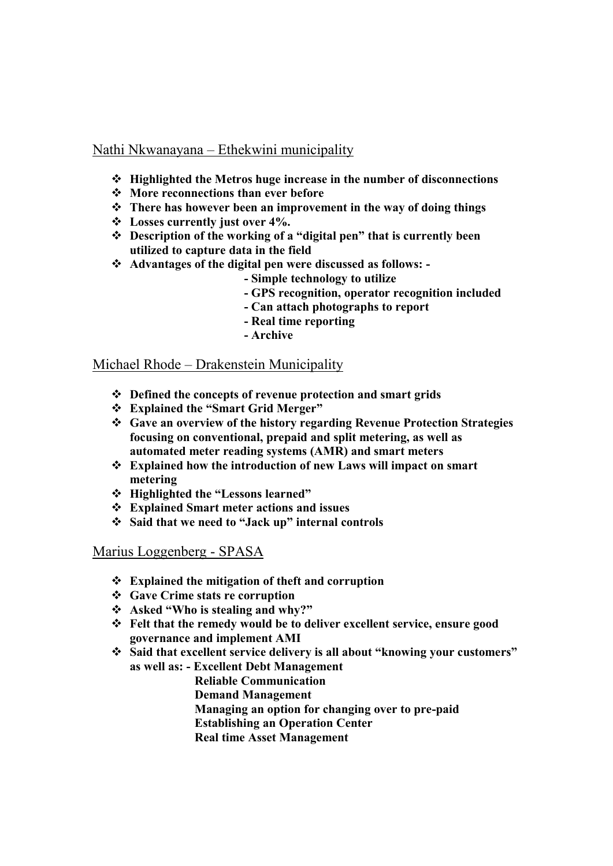# Nathi Nkwanayana – Ethekwini municipality

- **Highlighted the Metros huge increase in the number of disconnections**
- **More reconnections than ever before**
- **There has however been an improvement in the way of doing things**
- **Losses currently just over 4%.**
- **Description of the working of a "digital pen" that is currently been utilized to capture data in the field**
- **Advantages of the digital pen were discussed as follows: -**
	- **- Simple technology to utilize**
	- **- GPS recognition, operator recognition included**
	- **- Can attach photographs to report**
	- **- Real time reporting**
	- **- Archive**

# Michael Rhode – Drakenstein Municipality

- **Defined the concepts of revenue protection and smart grids**
- **Explained the "Smart Grid Merger"**
- **Gave an overview of the history regarding Revenue Protection Strategies focusing on conventional, prepaid and split metering, as well as automated meter reading systems (AMR) and smart meters**
- **Explained how the introduction of new Laws will impact on smart metering**
- **Highlighted the "Lessons learned"**
- **Explained Smart meter actions and issues**
- **Said that we need to "Jack up" internal controls**

Marius Loggenberg - SPASA

- **Explained the mitigation of theft and corruption**
- **Gave Crime stats re corruption**
- **Asked "Who is stealing and why?"**
- **Felt that the remedy would be to deliver excellent service, ensure good governance and implement AMI**
- **Said that excellent service delivery is all about "knowing your customers" as well as: - Excellent Debt Management**
	- **Reliable Communication**
		- **Demand Management**
		- **Managing an option for changing over to pre-paid**
		- **Establishing an Operation Center**
		- **Real time Asset Management**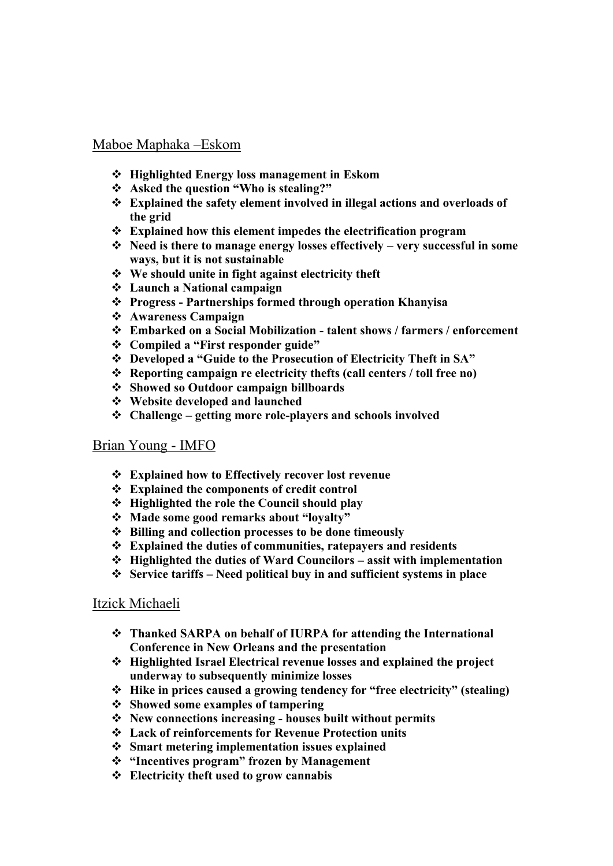#### Maboe Maphaka –Eskom

- **Highlighted Energy loss management in Eskom**
- **Asked the question "Who is stealing?"**
- **Explained the safety element involved in illegal actions and overloads of the grid**
- **Explained how this element impedes the electrification program**
- **Need is there to manage energy losses effectively – very successful in some ways, but it is not sustainable**
- **We should unite in fight against electricity theft**
- **Launch a National campaign**
- **Progress - Partnerships formed through operation Khanyisa**
- **Awareness Campaign**
- **Embarked on a Social Mobilization - talent shows / farmers / enforcement**
- **Compiled a "First responder guide"**
- **Developed a "Guide to the Prosecution of Electricity Theft in SA"**
- **Reporting campaign re electricity thefts (call centers / toll free no)**
- **Showed so Outdoor campaign billboards**
- **Website developed and launched**
- **Challenge – getting more role-players and schools involved**

#### Brian Young - IMFO

- **Explained how to Effectively recover lost revenue**
- **Explained the components of credit control**
- **Highlighted the role the Council should play**
- **Made some good remarks about "loyalty"**
- **Billing and collection processes to be done timeously**
- **Explained the duties of communities, ratepayers and residents**
- **Highlighted the duties of Ward Councilors – assit with implementation**
- **Service tariffs – Need political buy in and sufficient systems in place**

#### Itzick Michaeli

- **Thanked SARPA on behalf of IURPA for attending the International Conference in New Orleans and the presentation**
- **Highlighted Israel Electrical revenue losses and explained the project underway to subsequently minimize losses**
- **Hike in prices caused a growing tendency for "free electricity" (stealing)**
- **Showed some examples of tampering**
- **New connections increasing - houses built without permits**
- **Lack of reinforcements for Revenue Protection units**
- **Smart metering implementation issues explained**
- **"Incentives program" frozen by Management**
- **Electricity theft used to grow cannabis**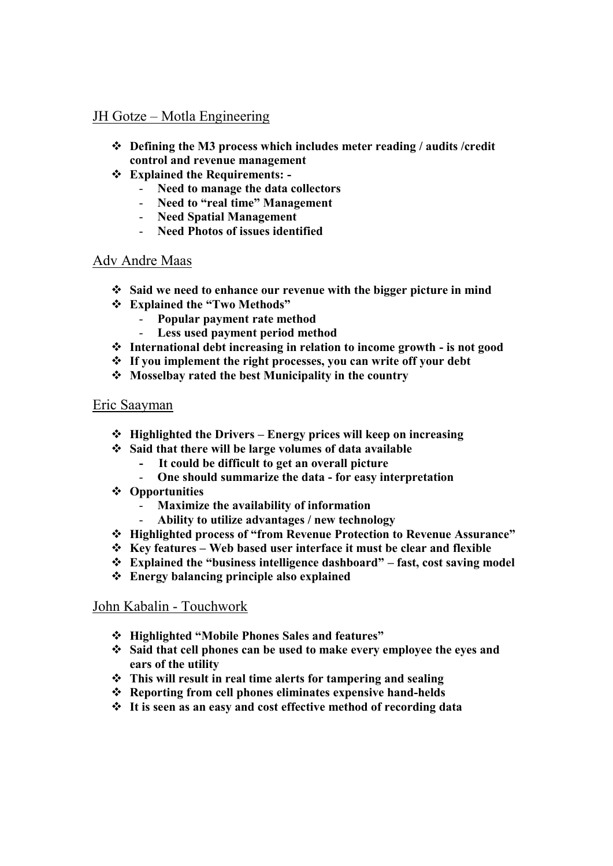# JH Gotze – Motla Engineering

- **Defining the M3 process which includes meter reading / audits /credit control and revenue management**
- **Explained the Requirements: -**
	- **Need to manage the data collectors**
	- **Need to "real time" Management**
	- **Need Spatial Management**
	- **Need Photos of issues identified**

# Adv Andre Maas

- **Said we need to enhance our revenue with the bigger picture in mind**
- **Explained the "Two Methods"**
	- **Popular payment rate method**
	- **Less used payment period method**
- **International debt increasing in relation to income growth - is not good**
- **If you implement the right processes, you can write off your debt**
- **Mosselbay rated the best Municipality in the country**

#### Eric Saayman

- **Highlighted the Drivers – Energy prices will keep on increasing**
- **Said that there will be large volumes of data available** 
	- **It could be difficult to get an overall picture**
		- **One should summarize the data - for easy interpretation**
- **Opportunities** 
	- **Maximize the availability of information**
	- **Ability to utilize advantages / new technology**
- **Highlighted process of "from Revenue Protection to Revenue Assurance"**
- **Key features – Web based user interface it must be clear and flexible**
- **Explained the "business intelligence dashboard" – fast, cost saving model**
- **Energy balancing principle also explained**

# John Kabalin - Touchwork

- **Highlighted "Mobile Phones Sales and features"**
- **Said that cell phones can be used to make every employee the eyes and ears of the utility**
- **This will result in real time alerts for tampering and sealing**
- **Reporting from cell phones eliminates expensive hand-helds**
- **It is seen as an easy and cost effective method of recording data**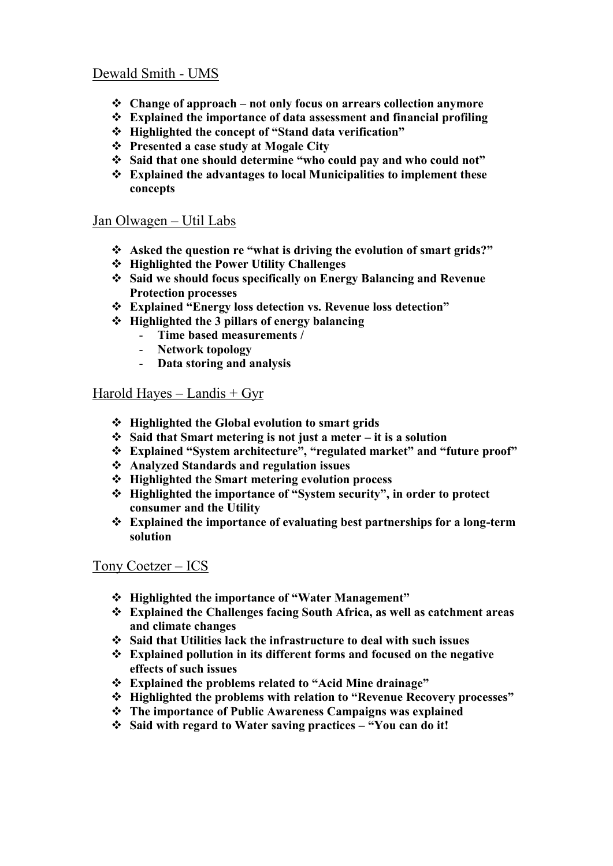# Dewald Smith - UMS

- **Change of approach – not only focus on arrears collection anymore**
- **Explained the importance of data assessment and financial profiling**
- **Highlighted the concept of "Stand data verification"**
- **Presented a case study at Mogale City**
- **Said that one should determine "who could pay and who could not"**
- **Explained the advantages to local Municipalities to implement these concepts**

#### Jan Olwagen – Util Labs

- **Asked the question re "what is driving the evolution of smart grids?"**
- **Highlighted the Power Utility Challenges**
- **Said we should focus specifically on Energy Balancing and Revenue Protection processes**
- **Explained "Energy loss detection vs. Revenue loss detection"**
- **Highlighted the 3 pillars of energy balancing**
	- **Time based measurements /**
	- **Network topology**
	- **Data storing and analysis**

#### Harold Hayes – Landis  $+$  Gyr

- **Highlighted the Global evolution to smart grids**
- **Said that Smart metering is not just a meter – it is a solution**
- **Explained "System architecture", "regulated market" and "future proof"**
- **Analyzed Standards and regulation issues**
- **Highlighted the Smart metering evolution process**
- **Highlighted the importance of "System security", in order to protect consumer and the Utility**
- **Explained the importance of evaluating best partnerships for a long-term solution**

# Tony Coetzer – ICS

- **Highlighted the importance of "Water Management"**
- **Explained the Challenges facing South Africa, as well as catchment areas and climate changes**
- **Said that Utilities lack the infrastructure to deal with such issues**
- **Explained pollution in its different forms and focused on the negative effects of such issues**
- **Explained the problems related to "Acid Mine drainage"**
- **Highlighted the problems with relation to "Revenue Recovery processes"**
- **The importance of Public Awareness Campaigns was explained**
- **Said with regard to Water saving practices – "You can do it!**